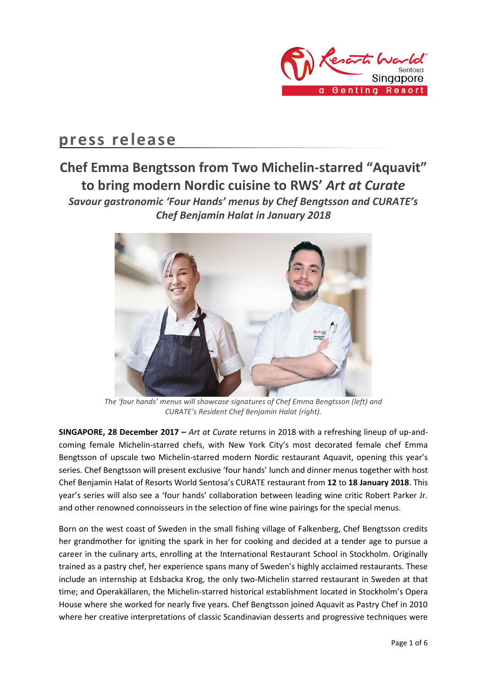

# **press release**

## **Chef Emma Bengtsson from Two Michelin-starred "Aquavit" to bring modern Nordic cuisine to RWS'** *Art at Curate Savour gastronomic 'Four Hands' menus by Chef Bengtsson and CURATE's Chef Benjamin Halat in January 2018*



*The 'four hands' menus will showcase signatures of Chef Emma Bengtsson (left) and CURATE's Resident Chef Benjamin Halat (right).*

**SINGAPORE, 28 December 2017 –** *Art at Curate* returns in 2018 with a refreshing lineup of up-andcoming female Michelin-starred chefs, with New York City's most decorated female chef Emma Bengtsson of upscale two Michelin-starred modern Nordic restaurant Aquavit, opening this year's series. Chef Bengtsson will present exclusive 'four hands' lunch and dinner menus together with host Chef Benjamin Halat of Resorts World Sentosa's CURATE restaurant from **12** to **18 January 2018**. This year's series will also see a 'four hands' collaboration between leading wine critic Robert Parker Jr. and other renowned connoisseurs in the selection of fine wine pairings for the special menus.

Born on the west coast of Sweden in the small fishing village of Falkenberg, Chef Bengtsson credits her grandmother for igniting the spark in her for cooking and decided at a tender age to pursue a career in the culinary arts, enrolling at the International Restaurant School in Stockholm. Originally trained as a pastry chef, her experience spans many of Sweden's highly acclaimed restaurants. These include an internship at Edsbacka Krog, the only two-Michelin starred restaurant in Sweden at that time; and Operakällaren, the Michelin-starred historical establishment located in Stockholm's Opera House where she worked for nearly five years. Chef Bengtsson joined Aquavit as Pastry Chef in 2010 where her creative interpretations of classic Scandinavian desserts and progressive techniques were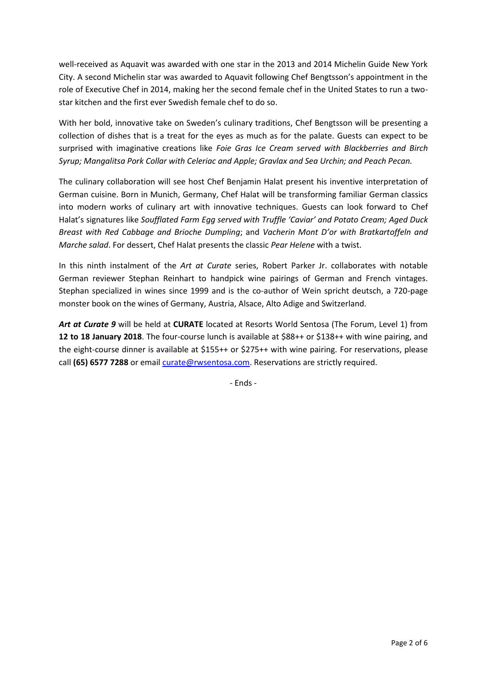well-received as Aquavit was awarded with one star in the 2013 and 2014 Michelin Guide New York City. A second Michelin star was awarded to Aquavit following Chef Bengtsson's appointment in the role of Executive Chef in 2014, making her the second female chef in the United States to run a twostar kitchen and the first ever Swedish female chef to do so.

With her bold, innovative take on Sweden's culinary traditions, Chef Bengtsson will be presenting a collection of dishes that is a treat for the eyes as much as for the palate. Guests can expect to be surprised with imaginative creations like *Foie Gras Ice Cream served with Blackberries and Birch Syrup; Mangalitsa Pork Collar with Celeriac and Apple; Gravlax and Sea Urchin; and Peach Pecan.*

The culinary collaboration will see host Chef Benjamin Halat present his inventive interpretation of German cuisine. Born in Munich, Germany, Chef Halat will be transforming familiar German classics into modern works of culinary art with innovative techniques. Guests can look forward to Chef Halat's signatures like *Soufflated Farm Egg served with Truffle 'Caviar' and Potato Cream; Aged Duck Breast with Red Cabbage and Brioche Dumpling*; and *Vacherin Mont D'or with Bratkartoffeln and Marche salad*. For dessert, Chef Halat presents the classic *Pear Helene* with a twist.

In this ninth instalment of the *Art at Curate* series, Robert Parker Jr. collaborates with notable German reviewer Stephan Reinhart to handpick wine pairings of German and French vintages. Stephan specialized in wines since 1999 and is the co-author of Wein spricht deutsch, a 720-page monster book on the wines of Germany, Austria, Alsace, Alto Adige and Switzerland.

*Art at Curate 9* will be held at **CURATE** located at Resorts World Sentosa (The Forum, Level 1) from **12 to 18 January 2018**. The four-course lunch is available at \$88++ or \$138++ with wine pairing, and the eight-course dinner is available at \$155++ or \$275++ with wine pairing. For reservations, please call **(65) 6577 7288** or emai[l curate@rwsentosa.com.](mailto:curate@rwsentosa.com) Reservations are strictly required.

- Ends -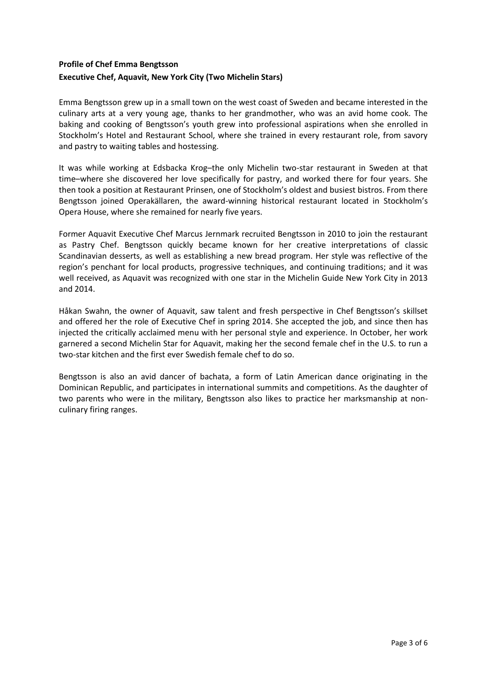## **Profile of Chef Emma Bengtsson**

### **Executive Chef, Aquavit, New York City (Two Michelin Stars)**

Emma Bengtsson grew up in a small town on the west coast of Sweden and became interested in the culinary arts at a very young age, thanks to her grandmother, who was an avid home cook. The baking and cooking of Bengtsson's youth grew into professional aspirations when she enrolled in Stockholm's Hotel and Restaurant School, where she trained in every restaurant role, from savory and pastry to waiting tables and hostessing.

It was while working at Edsbacka Krog–the only Michelin two-star restaurant in Sweden at that time–where she discovered her love specifically for pastry, and worked there for four years. She then took a position at Restaurant Prinsen, one of Stockholm's oldest and busiest bistros. From there Bengtsson joined Operakällaren, the award-winning historical restaurant located in Stockholm's Opera House, where she remained for nearly five years.

Former Aquavit Executive Chef Marcus Jernmark recruited Bengtsson in 2010 to join the restaurant as Pastry Chef. Bengtsson quickly became known for her creative interpretations of classic Scandinavian desserts, as well as establishing a new bread program. Her style was reflective of the region's penchant for local products, progressive techniques, and continuing traditions; and it was well received, as Aquavit was recognized with one star in the Michelin Guide New York City in 2013 and 2014.

Håkan Swahn, the owner of Aquavit, saw talent and fresh perspective in Chef Bengtsson's skillset and offered her the role of Executive Chef in spring 2014. She accepted the job, and since then has injected the critically acclaimed menu with her personal style and experience. In October, her work garnered a second Michelin Star for Aquavit, making her the second female chef in the U.S. to run a two-star kitchen and the first ever Swedish female chef to do so.

Bengtsson is also an avid dancer of bachata, a form of Latin American dance originating in the Dominican Republic, and participates in international summits and competitions. As the daughter of two parents who were in the military, Bengtsson also likes to practice her marksmanship at nonculinary firing ranges.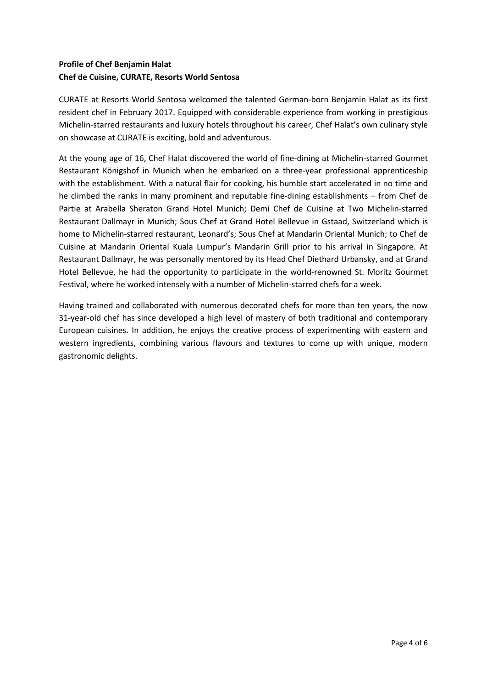## **Profile of Chef Benjamin Halat Chef de Cuisine, CURATE, Resorts World Sentosa**

CURATE at Resorts World Sentosa welcomed the talented German-born Benjamin Halat as its first resident chef in February 2017. Equipped with considerable experience from working in prestigious Michelin-starred restaurants and luxury hotels throughout his career, Chef Halat's own culinary style on showcase at CURATE is exciting, bold and adventurous.

At the young age of 16, Chef Halat discovered the world of fine-dining at Michelin-starred Gourmet Restaurant Königshof in Munich when he embarked on a three-year professional apprenticeship with the establishment. With a natural flair for cooking, his humble start accelerated in no time and he climbed the ranks in many prominent and reputable fine-dining establishments – from Chef de Partie at Arabella Sheraton Grand Hotel Munich; Demi Chef de Cuisine at Two Michelin-starred Restaurant Dallmayr in Munich; Sous Chef at Grand Hotel Bellevue in Gstaad, Switzerland which is home to Michelin-starred restaurant, Leonard's; Sous Chef at Mandarin Oriental Munich; to Chef de Cuisine at Mandarin Oriental Kuala Lumpur's Mandarin Grill prior to his arrival in Singapore. At Restaurant Dallmayr, he was personally mentored by its Head Chef Diethard Urbansky, and at Grand Hotel Bellevue, he had the opportunity to participate in the world-renowned St. Moritz Gourmet Festival, where he worked intensely with a number of Michelin-starred chefs for a week.

Having trained and collaborated with numerous decorated chefs for more than ten years, the now 31-year-old chef has since developed a high level of mastery of both traditional and contemporary European cuisines. In addition, he enjoys the creative process of experimenting with eastern and western ingredients, combining various flavours and textures to come up with unique, modern gastronomic delights.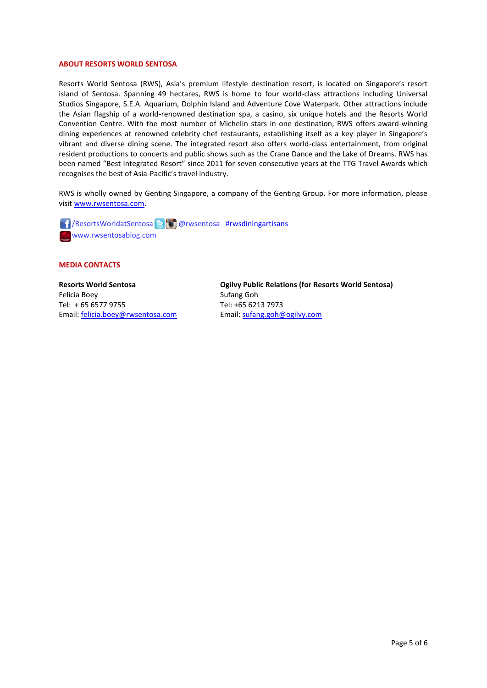#### **ABOUT RESORTS WORLD SENTOSA**

Resorts World Sentosa (RWS), Asia's premium lifestyle destination resort, is located on Singapore's resort island of Sentosa. Spanning 49 hectares, RWS is home to four world-class attractions including Universal Studios Singapore, S.E.A. Aquarium, Dolphin Island and Adventure Cove Waterpark. Other attractions include the Asian flagship of a world-renowned destination spa, a casino, six unique hotels and the Resorts World Convention Centre. With the most number of Michelin stars in one destination, RWS offers award-winning dining experiences at renowned celebrity chef restaurants, establishing itself as a key player in Singapore's vibrant and diverse dining scene. The integrated resort also offers world-class entertainment, from original resident productions to concerts and public shows such as the Crane Dance and the Lake of Dreams. RWS has been named "Best Integrated Resort" since 2011 for seven consecutive years at the TTG Travel Awards which recognises the best of Asia-Pacific's travel industry.

RWS is wholly owned by Genting Singapore, a company of the Genting Group. For more information, please visi[t www.rwsentosa.com.](http://www.rwsentosa.com/)

 $\Box$ /ResortsWorldatSentosa $\Box$  @rwsentosa #rwsdiningartisans www.rwsentosablog.com

#### **MEDIA CONTACTS**

**Resorts World Sentosa** Felicia Boey Tel: + 65 6577 9755 Email: [felicia.boey@rwsentosa.com](mailto:felicia.boey@rwsentosa.com) **Ogilvy Public Relations (for Resorts World Sentosa)** Sufang Goh Tel: +65 6213 7973 Email[: sufang.goh@ogilvy.com](mailto:sufang.goh@ogilvy.com)